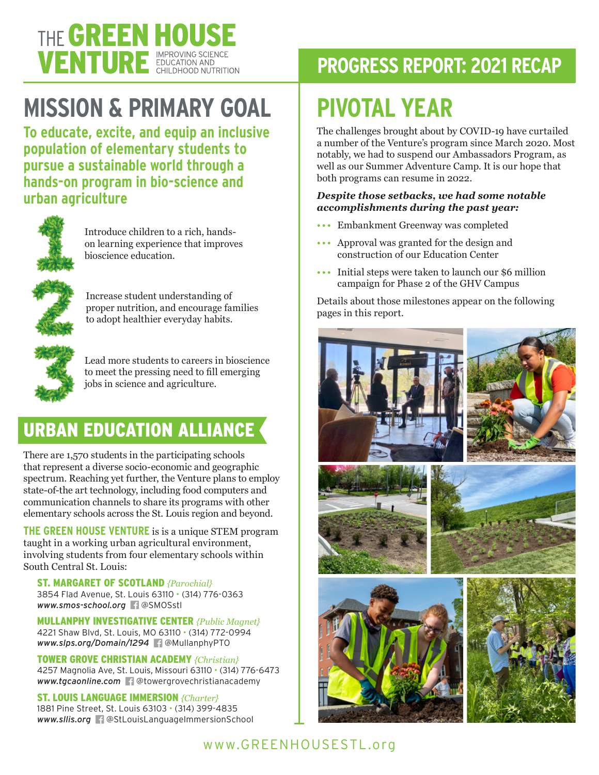

# **MISSION & PRIMARY GOAL**

**To educate, excite, and equip an inclusive population of elementary students to pursue a sustainable world through a hands-on program in bio-science and urban agriculture**



Introduce children to a rich, handson learning experience that improves bioscience education.



Increase student understanding of proper nutrition, and encourage families to adopt healthier everyday habits.



Lead more students to careers in bioscience to meet the pressing need to fill emerging jobs in science and agriculture.

## URBAN EDUCATION ALLIANCE

There are 1,570 students in the participating schools that represent a diverse socio-economic and geographic spectrum. Reaching yet further, the Venture plans to employ state-of-the art technology, including food computers and communication channels to share its programs with other elementary schools across the St. Louis region and beyond.

**THE GREEN HOUSE VENTURE** is is a unique STEM program taught in a working urban agricultural environment, involving students from four elementary schools within South Central St. Louis:

ST. MARGARET OF SCOTLAND *{Parochial}* 3854 Flad Avenue, St. Louis 63110 • (314) 776-0363 *www.smos-school.org* @SMOSstl

MULLANPHY INVESTIGATIVE CENTER *{Public Magnet}* 4221 Shaw Blvd, St. Louis, MO 63110 • (314) 772-0994 *www.slps.org/Domain/1294* @MullanphyPTO

TOWER GROVE CHRISTIAN ACADEMY *{Christian}* 4257 Magnolia Ave, St. Louis, Missouri 63110 • (314) 776-6473 *www.tgcaonline.com* @towergrovechristianacademy

### ST. LOUIS LANGUAGE IMMERSION *{Charter}*

1881 Pine Street, St. Louis 63103 • (314) 399-4835 *www.sllis.org* @StLouisLanguageImmersionSchool

# **PROGRESS REPORT: 2021 RECAP**

# **PIVOTAL YEAR**

The challenges brought about by COVID-19 have curtailed a number of the Venture's program since March 2020. Most notably, we had to suspend our Ambassadors Program, as well as our Summer Adventure Camp. It is our hope that both programs can resume in 2022.

#### *Despite those setbacks, we had some notable accomplishments during the past year:*

- ••• Embankment Greenway was completed
- ••• Approval was granted for the design and construction of our Education Center
- ••• Initial steps were taken to launch our \$6 million campaign for Phase 2 of the GHV Campus

Details about those milestones appear on the following pages in this report.



### www.GREENHOUSESTL.org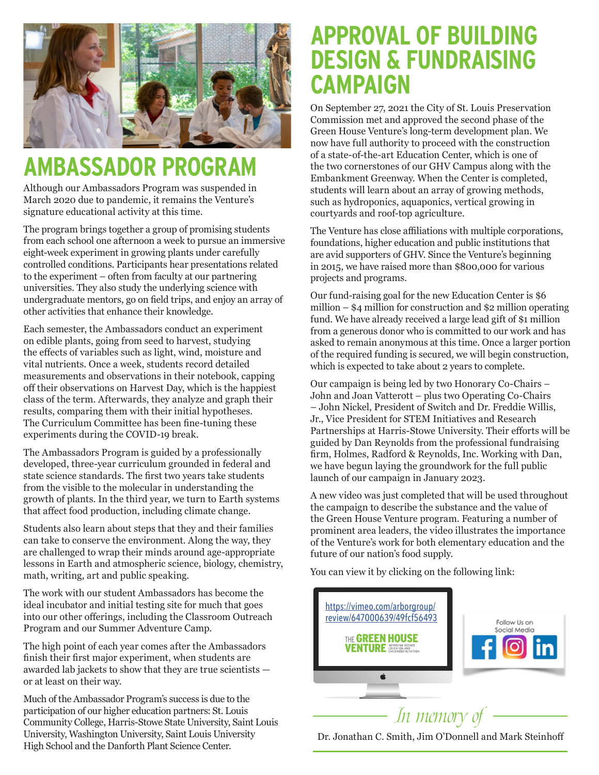

# **AMBASSADOR PROGRAM**

Although our Ambassadors Program was suspended in March 2020 due to pandemic, it remains the Venture's signature educational activity at this time.

The program brings together a group of promising students from each school one afternoon a week to pursue an immersive eight-week experiment in growing plants under carefully controlled conditions. Participants hear presentations related to the experiment – often from faculty at our partnering universities. They also study the underlying science with undergraduate mentors, go on field trips, and enjoy an array of other activities that enhance their knowledge.

Each semester, the Ambassadors conduct an experiment on edible plants, going from seed to harvest, studying the effects of variables such as light, wind, moisture and vital nutrients. Once a week, students record detailed measurements and observations in their notebook, capping off their observations on Harvest Day, which is the happiest class of the term. Afterwards, they analyze and graph their results, comparing them with their initial hypotheses. The Curriculum Committee has been fine-tuning these experiments during the COVID-19 break.

The Ambassadors Program is guided by a professionally developed, three-year curriculum grounded in federal and state science standards. The first two years take students from the visible to the molecular in understanding the growth of plants. In the third year, we turn to Earth systems that affect food production, including climate change.

Students also learn about steps that they and their families can take to conserve the environment. Along the way, they are challenged to wrap their minds around age-appropriate lessons in Earth and atmospheric science, biology, chemistry, math, writing, art and public speaking.

The work with our student Ambassadors has become the ideal incubator and initial testing site for much that goes into our other offerings, including the Classroom Outreach Program and our Summer Adventure Camp.

The high point of each year comes after the Ambassadors finish their first major experiment, when students are awarded lab jackets to show that they are true scientists or at least on their way.

Much of the Ambassador Program's success is due to the participation of our higher education partners: St. Louis Community College, Harris-Stowe State University, Saint Louis University, Washington University, Saint Louis University High School and the Danforth Plant Science Center.

# **APPROVAL OF BUILDING DESIGN & FUNDRAISING CAMPAIGN**

On September 27, 2021 the City of St. Louis Preservation Commission met and approved the second phase of the Green House Venture's long-term development plan. We now have full authority to proceed with the construction of a state-of-the-art Education Center, which is one of the two cornerstones of our GHV Campus along with the Embankment Greenway. When the Center is completed, students will learn about an array of growing methods, such as hydroponics, aquaponics, vertical growing in courtyards and roof-top agriculture.

The Venture has close affiliations with multiple corporations, foundations, higher education and public institutions that are avid supporters of GHV. Since the Venture's beginning in 2015, we have raised more than \$800,000 for various projects and programs.

Our fund-raising goal for the new Education Center is \$6 million – \$4 million for construction and \$2 million operating fund. We have already received a large lead gift of \$1 million from a generous donor who is committed to our work and has asked to remain anonymous at this time. Once a larger portion of the required funding is secured, we will begin construction, which is expected to take about 2 years to complete.

Our campaign is being led by two Honorary Co-Chairs – John and Joan Vatterott – plus two Operating Co-Chairs – John Nickel, President of Switch and Dr. Freddie Willis, Jr., Vice President for STEM Initiatives and Research Partnerships at Harris-Stowe University. Their efforts will be guided by Dan Reynolds from the professional fundraising firm, Holmes, Radford & Reynolds, Inc. Working with Dan, we have begun laying the groundwork for the full public launch of our campaign in January 2023.

A new video was just completed that will be used throughout the campaign to describe the substance and the value of the Green House Venture program. Featuring a number of prominent area leaders, the video illustrates the importance of the Venture's work for both elementary education and the future of our nation's food supply.

You can view it by clicking on the following link:



Dr. Jonathan C. Smith, Jim O'Donnell and Mark Steinhoff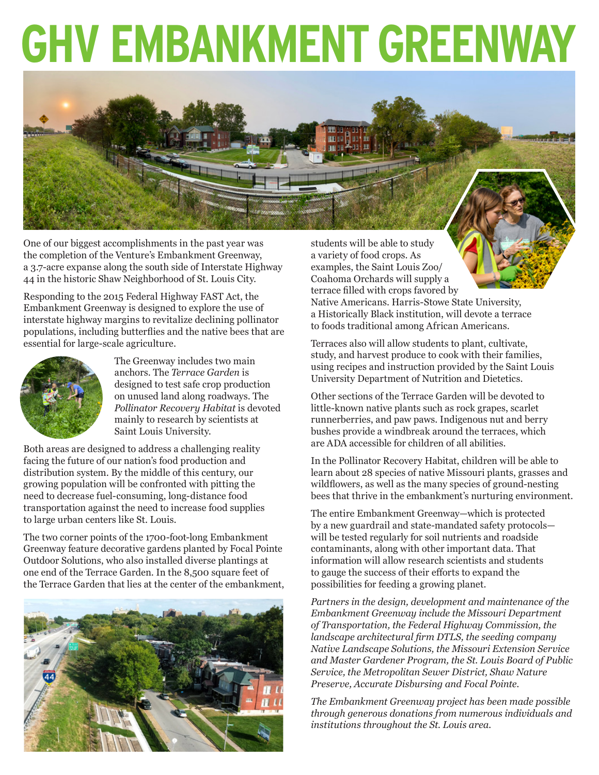# **GHV EMBANKMENT GREENWAY**



One of our biggest accomplishments in the past year was the completion of the Venture's Embankment Greenway, a 3.7-acre expanse along the south side of Interstate Highway 44 in the historic Shaw Neighborhood of St. Louis City.

Responding to the 2015 Federal Highway FAST Act, the Embankment Greenway is designed to explore the use of interstate highway margins to revitalize declining pollinator populations, including butterflies and the native bees that are essential for large-scale agriculture.



The Greenway includes two main anchors. The *Terrace Garden* is designed to test safe crop production on unused land along roadways. The *Pollinator Recovery Habitat* is devoted mainly to research by scientists at Saint Louis University.

Both areas are designed to address a challenging reality facing the future of our nation's food production and distribution system. By the middle of this century, our growing population will be confronted with pitting the need to decrease fuel-consuming, long-distance food transportation against the need to increase food supplies to large urban centers like St. Louis.

The two corner points of the 1700-foot-long Embankment Greenway feature decorative gardens planted by Focal Pointe Outdoor Solutions, who also installed diverse plantings at one end of the Terrace Garden. In the 8,500 square feet of the Terrace Garden that lies at the center of the embankment,



students will be able to study a variety of food crops. As examples, the Saint Louis Zoo/ Coahoma Orchards will supply a terrace filled with crops favored by Native Americans. Harris-Stowe State University, a Historically Black institution, will devote a terrace to foods traditional among African Americans.

Terraces also will allow students to plant, cultivate, study, and harvest produce to cook with their families, using recipes and instruction provided by the Saint Louis University Department of Nutrition and Dietetics.

Other sections of the Terrace Garden will be devoted to little-known native plants such as rock grapes, scarlet runnerberries, and paw paws. Indigenous nut and berry bushes provide a windbreak around the terraces, which are ADA accessible for children of all abilities.

In the Pollinator Recovery Habitat, children will be able to learn about 28 species of native Missouri plants, grasses and wildflowers, as well as the many species of ground-nesting bees that thrive in the embankment's nurturing environment.

The entire Embankment Greenway—which is protected by a new guardrail and state-mandated safety protocols will be tested regularly for soil nutrients and roadside contaminants, along with other important data. That information will allow research scientists and students to gauge the success of their efforts to expand the possibilities for feeding a growing planet.

*Partners in the design, development and maintenance of the Embankment Greenway include the Missouri Department of Transportation, the Federal Highway Commission, the landscape architectural firm DTLS, the seeding company Native Landscape Solutions, the Missouri Extension Service and Master Gardener Program, the St. Louis Board of Public Service, the Metropolitan Sewer District, Shaw Nature Preserve, Accurate Disbursing and Focal Pointe.*

*The Embankment Greenway project has been made possible through generous donations from numerous individuals and institutions throughout the St. Louis area.*